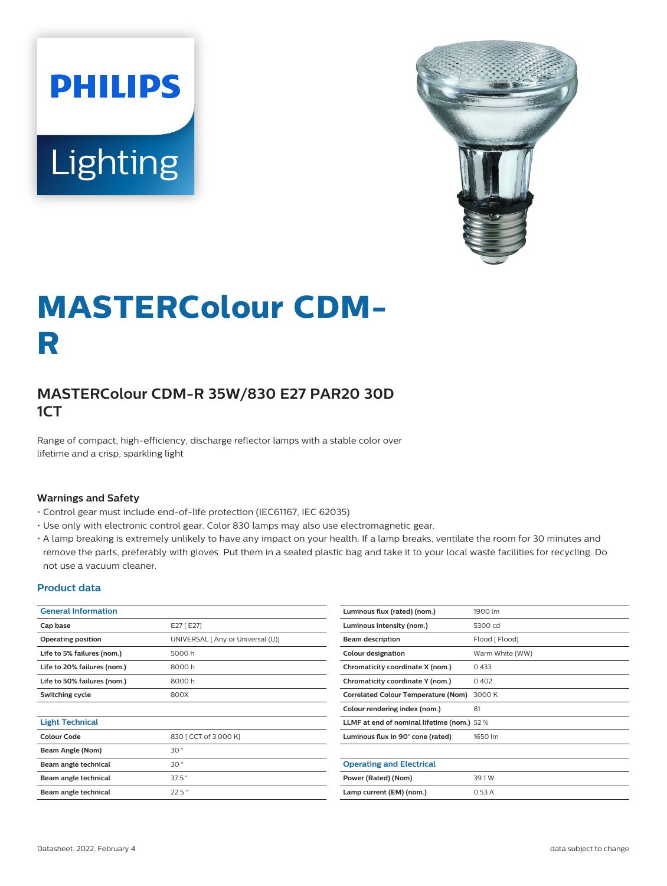# **PHILIPS** Lighting



# **MASTERColour CDM-R**

# **MASTERColour CDM-R 35W/830 E27 PAR20 30D 1CT**

Range of compact, high-efficiency, discharge reflector lamps with a stable color over lifetime and a crisp, sparkling light

#### **Warnings and Safety**

- Control gear must include end-of-life protection (IEC61167, IEC 62035)
- Use only with electronic control gear. Color 830 lamps may also use electromagnetic gear.
- A lamp breaking is extremely unlikely to have any impact on your health. If a lamp breaks, ventilate the room for 30 minutes and remove the parts, preferably with gloves. Put them in a sealed plastic bag and take it to your local waste facilities for recycling. Do not use a vacuum cleaner.

#### **Product data**

| <b>General Information</b>  |                                   | Luminous flux (rated) (nom.)                | 1900 lm         |  |
|-----------------------------|-----------------------------------|---------------------------------------------|-----------------|--|
| Cap base                    | E27 [ E27]                        | Luminous intensity (nom.)                   | 5300 cd         |  |
| <b>Operating position</b>   | UNIVERSAL [ Any or Universal (U)] | <b>Beam description</b>                     | Flood [ Flood]  |  |
| Life to 5% failures (nom.)  | 5000 h                            | Colour designation                          | Warm White (WW) |  |
| Life to 20% failures (nom.) | 8000h                             | Chromaticity coordinate X (nom.)            | 0.433           |  |
| Life to 50% failures (nom.) | 8000h                             | Chromaticity coordinate Y (nom.)            | 0.402           |  |
| Switching cycle             | 800X                              | Correlated Colour Temperature (Nom)         | 3000 K          |  |
|                             |                                   | Colour rendering index (nom.)               | 81              |  |
| <b>Light Technical</b>      |                                   | LLMF at end of nominal lifetime (nom.) 52 % |                 |  |
| <b>Colour Code</b>          | 830 [ CCT of 3,000 K]             | Luminous flux in 90° cone (rated)           | 1650 lm         |  |
| Beam Angle (Nom)            | 30 <sup>°</sup>                   |                                             |                 |  |
| Beam angle technical        | 30°                               | <b>Operating and Electrical</b>             |                 |  |
| Beam angle technical        | $37.5$ °                          | Power (Rated) (Nom)                         | 39.1W           |  |
| Beam angle technical        | 22.5°                             | Lamp current (EM) (nom.)                    | 0.53A           |  |
|                             |                                   |                                             |                 |  |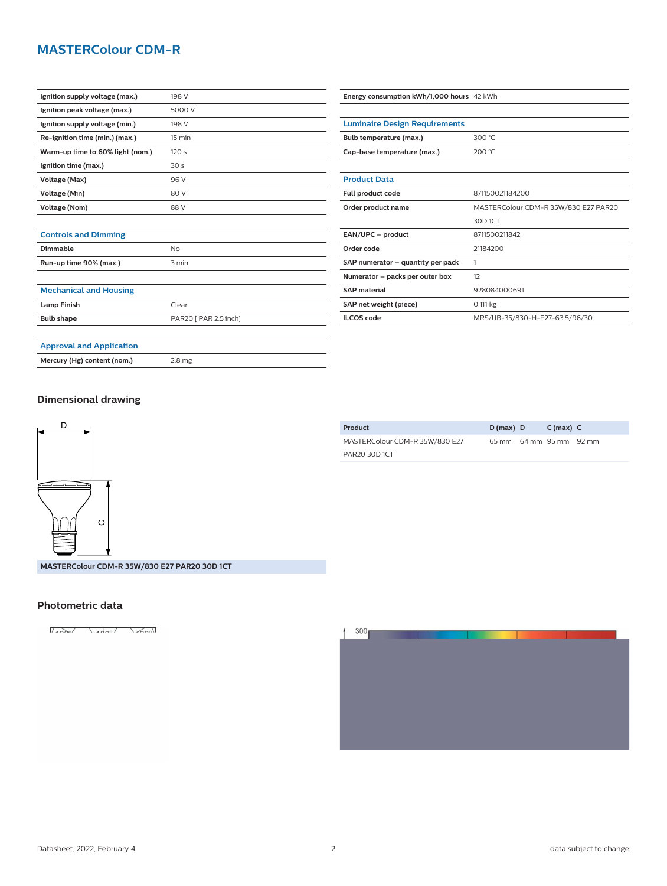## **MASTERColour CDM-R**

| Ignition supply voltage (max.)   | 198 V            |
|----------------------------------|------------------|
| Ignition peak voltage (max.)     | 5000 V           |
| Ignition supply voltage (min.)   | 198 V            |
| Re-ignition time (min.) (max.)   | $15 \text{ min}$ |
| Warm-up time to 60% light (nom.) | 120 <sub>s</sub> |
| Ignition time (max.)             | 30 <sub>s</sub>  |
| Voltage (Max)                    | 96 V             |
| Voltage (Min)                    | 80 V             |
| Voltage (Nom)                    | 88 V             |
|                                  |                  |

| Bulb temperature (max.)           | 300 °C                               |  |  |
|-----------------------------------|--------------------------------------|--|--|
| Cap-base temperature (max.)       | 200 $°C$                             |  |  |
|                                   |                                      |  |  |
| <b>Product Data</b>               |                                      |  |  |
| Full product code                 | 871150021184200                      |  |  |
| Order product name                | MASTERColour CDM-R 35W/830 E27 PAR20 |  |  |
|                                   | 30D 1CT                              |  |  |
| EAN/UPC - product                 | 8711500211842                        |  |  |
| Order code                        | 21184200                             |  |  |
| SAP numerator - quantity per pack | 1                                    |  |  |
| Numerator - packs per outer box   | $12^{1}$                             |  |  |
| <b>SAP material</b>               | 928084000691                         |  |  |
| SAP net weight (piece)            | $0.111$ kg                           |  |  |
| <b>ILCOS</b> code                 | MRS/UB-35/830-H-E27-63.5/96/30       |  |  |

**Energy consumption kWh/1,000 hours** 42 kWh

**Luminaire Design Requirements**

# **Controls and Dimming**

| Dimmable               | NΩ    |
|------------------------|-------|
| Run-up time 90% (max.) | 3 min |
|                        |       |

#### **Mechanical and Housing**

| <b>Lamp Finish</b> | Clear                 |
|--------------------|-----------------------|
| <b>Bulb shape</b>  | PAR20 [ PAR 2.5 inch] |
|                    |                       |

# **Approval and Application**

**Mercury (Hg) content (nom.)** 2.8 mg

#### **Dimensional drawing**



| Product                        | $D(max)$ D              | $C(max)$ $C$ |  |
|--------------------------------|-------------------------|--------------|--|
| MASTERColour CDM-R 35W/830 E27 | 65 mm 64 mm 95 mm 92 mm |              |  |
| PAR20 30D 1CT                  |                         |              |  |

#### **MASTERColour CDM-R 35W/830 E27 PAR20 30D 1CT**

#### **Photometric data**

 $\sqrt{2\pi r}$ 



#### Datasheet, 2022, February 4 2 data subject to change